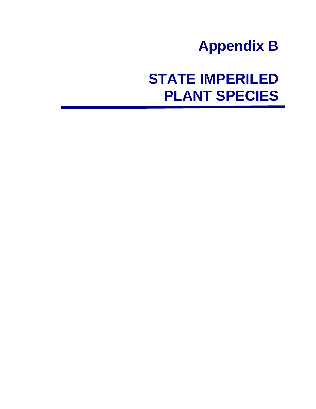# **Appendix B**

**STATE IMPERILED PLANT SPECIES**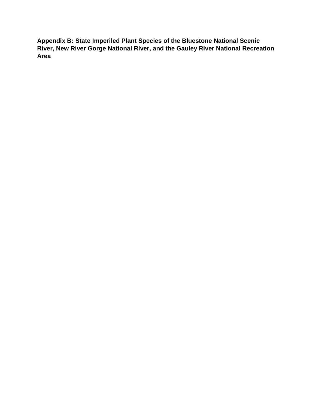**Appendix B: State Imperiled Plant Species of the Bluestone National Scenic River, New River Gorge National River, and the Gauley River National Recreation Area**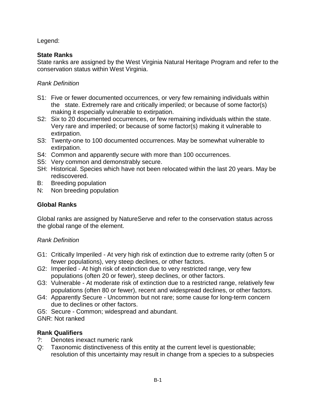Legend:

### **State Ranks**

State ranks are assigned by the West Virginia Natural Heritage Program and refer to the conservation status within West Virginia.

## *Rank Definition*

- S1: Five or fewer documented occurrences, or very few remaining individuals within the state. Extremely rare and critically imperiled; or because of some factor(s) making it especially vulnerable to extirpation.
- S2: Six to 20 documented occurrences, or few remaining individuals within the state. Very rare and imperiled; or because of some factor(s) making it vulnerable to extirpation.
- S3: Twenty-one to 100 documented occurrences. May be somewhat vulnerable to extirpation.
- S4: Common and apparently secure with more than 100 occurrences.
- S5: Very common and demonstrably secure.
- SH: Historical. Species which have not been relocated within the last 20 years. May be rediscovered.
- B: Breeding population
- N: Non breeding population

# **Global Ranks**

Global ranks are assigned by NatureServe and refer to the conservation status across the global range of the element.

## *Rank Definition*

- G1: Critically Imperiled At very high risk of extinction due to extreme rarity (often 5 or fewer populations), very steep declines, or other factors.
- G2: Imperiled At high risk of extinction due to very restricted range, very few populations (often 20 or fewer), steep declines, or other factors.
- G3: Vulnerable At moderate risk of extinction due to a restricted range, relatively few populations (often 80 or fewer), recent and widespread declines, or other factors.
- G4: Apparently Secure Uncommon but not rare; some cause for long-term concern due to declines or other factors.
- G5: Secure Common; widespread and abundant.
- GNR: Not ranked

## **Rank Qualifiers**

- ?: Denotes inexact numeric rank
- Q: Taxonomic distinctiveness of this entity at the current level is questionable; resolution of this uncertainty may result in change from a species to a subspecies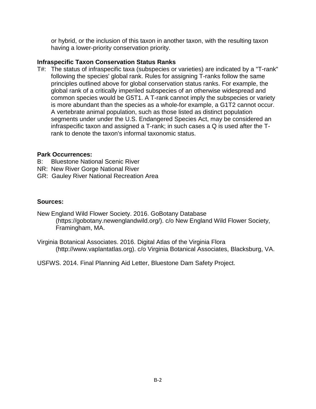or hybrid, or the inclusion of this taxon in another taxon, with the resulting taxon having a lower-priority conservation priority.

#### **Infraspecific Taxon Conservation Status Ranks**

T#: The status of infraspecific taxa (subspecies or varieties) are indicated by a "T-rank" following the species' global rank. Rules for assigning T-ranks follow the same principles outlined above for global conservation status ranks. For example, the global rank of a critically imperiled subspecies of an otherwise widespread and common species would be G5T1. A T-rank cannot imply the subspecies or variety is more abundant than the species as a whole-for example, a G1T2 cannot occur. A vertebrate animal population, such as those listed as distinct population segments under under the U.S. Endangered Species Act, may be considered an infraspecific taxon and assigned a T-rank; in such cases a Q is used after the Trank to denote the taxon's informal taxonomic status.

#### **Park Occurrences:**

- B: Bluestone National Scenic River
- NR: New River Gorge National River
- GR: Gauley River National Recreation Area

#### **Sources:**

- New England Wild Flower Society. 2016. GoBotany Database [\(https://gobotany.newenglandwild.org/\)](https://gobotany.newenglandwild.org/). c/o New England Wild Flower Society, Framingham, MA.
- Virginia Botanical Associates. 2016. Digital Atlas of the Virginia Flora (http://www.vaplantatlas.org). c/o Virginia Botanical Associates, Blacksburg, VA.

USFWS. 2014. Final Planning Aid Letter, Bluestone Dam Safety Project.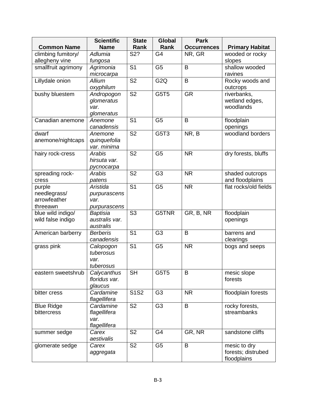|                          | <b>Scientific</b>           | <b>State</b>             | Global           | <b>Park</b>            |                                    |
|--------------------------|-----------------------------|--------------------------|------------------|------------------------|------------------------------------|
| <b>Common Name</b>       | <b>Name</b>                 | Rank                     | Rank             | <b>Occurrences</b>     | <b>Primary Habitat</b>             |
| climbing fumitory/       | Adlumia                     | S2?                      | G4               | NR, GR                 | wooded or rocky                    |
| allegheny vine           | fungosa                     |                          |                  |                        | slopes                             |
| smallfruit agrimony      | Agrimonia                   | S <sub>1</sub>           | G <sub>5</sub>   | B                      | shallow wooded                     |
|                          | microcarpa                  |                          |                  |                        | ravines                            |
| Lillydale onion          | <b>Allium</b>               | S <sub>2</sub>           | G <sub>2</sub> Q | B                      | Rocky woods and                    |
|                          | oxyphilum                   |                          |                  |                        | outcrops                           |
| bushy bluestem           | Andropogon                  | $\overline{\mathsf{S2}}$ | G5T5             | $\overline{\text{GR}}$ | riverbanks,                        |
|                          | glomeratus                  |                          |                  |                        | wetland edges,                     |
|                          | var.                        |                          |                  |                        | woodlands                          |
|                          | glomeratus                  |                          |                  |                        |                                    |
| Canadian anemone         | Anemone                     | S <sub>1</sub>           | G <sub>5</sub>   | B                      | floodplain                         |
|                          | canadensis                  |                          |                  |                        | openings                           |
| dwarf                    | Anemone                     | S <sub>2</sub>           | G5T3             | NR, B                  | woodland borders                   |
| anemone/nightcaps        | quinquefolia                |                          |                  |                        |                                    |
|                          | var. minima                 |                          |                  |                        |                                    |
| hairy rock-cress         | <b>Arabis</b>               | S <sub>2</sub>           | G <sub>5</sub>   | <b>NR</b>              | dry forests, bluffs                |
|                          | hirsuta var.                |                          |                  |                        |                                    |
|                          | pycnocarpa<br><b>Arabis</b> | S <sub>2</sub>           | G <sub>3</sub>   | <b>NR</b>              |                                    |
| spreading rock-<br>cress | patens                      |                          |                  |                        | shaded outcrops<br>and floodplains |
| purple                   | Aristida                    | S <sub>1</sub>           | G <sub>5</sub>   | <b>NR</b>              | flat rocks/old fields              |
| needlegrass/             | purpurascens                |                          |                  |                        |                                    |
| arrowfeather             | var.                        |                          |                  |                        |                                    |
| threeawn                 | purpurascens                |                          |                  |                        |                                    |
| blue wild indigo/        | <b>Baptisia</b>             | S <sub>3</sub>           | G5TNR            | GR, B, NR              | floodplain                         |
| wild false indigo        | australis var.              |                          |                  |                        | openings                           |
|                          | australis                   |                          |                  |                        |                                    |
| American barberry        | <b>Berberis</b>             | $\overline{S1}$          | $\overline{G3}$  | B                      | barrens and                        |
|                          | canadensis                  |                          |                  |                        | clearings                          |
| grass pink               | Calopogon                   | S <sub>1</sub>           | G <sub>5</sub>   | <b>NR</b>              | bogs and seeps                     |
|                          | tuberosus                   |                          |                  |                        |                                    |
|                          | var.                        |                          |                  |                        |                                    |
|                          | tuberosus                   |                          |                  |                        |                                    |
| eastern sweetshrub       | Calycanthus                 | <b>SH</b>                | G5T <sub>5</sub> | B                      | mesic slope                        |
|                          | floridus var.               |                          |                  |                        | forests                            |
|                          | glaucus                     |                          |                  |                        |                                    |
| bitter cress             | Cardamine                   | <b>S1S2</b>              | G <sub>3</sub>   | <b>NR</b>              | floodplain forests                 |
|                          | flagellifera                |                          |                  |                        |                                    |
| <b>Blue Ridge</b>        | Cardamine                   | S <sub>2</sub>           | G <sub>3</sub>   | B                      | rocky forests,                     |
| bittercress              | flagellifera                |                          |                  |                        | streambanks                        |
|                          | var.                        |                          |                  |                        |                                    |
|                          | flagellifera                |                          |                  |                        |                                    |
| summer sedge             | Carex                       | S <sub>2</sub>           | G4               | GR, NR                 | sandstone cliffs                   |
|                          | aestivalis                  |                          |                  |                        |                                    |
| glomerate sedge          | Carex                       | S <sub>2</sub>           | G <sub>5</sub>   | B                      | mesic to dry                       |
|                          | aggregata                   |                          |                  |                        | forests; distrubed<br>floodplains  |
|                          |                             |                          |                  |                        |                                    |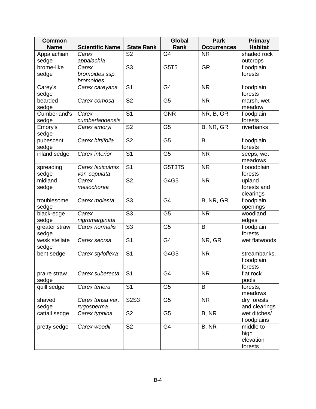| <b>Common</b>      |                        |                          | <b>Global</b>   | <b>Park</b>              | <b>Primary</b>              |
|--------------------|------------------------|--------------------------|-----------------|--------------------------|-----------------------------|
| <b>Name</b>        | <b>Scientific Name</b> | <b>State Rank</b>        | Rank            | <b>Occurrences</b>       | <b>Habitat</b>              |
| Appalachian        | Carex                  | S <sub>2</sub>           | G4              | <b>NR</b>                | shaded rock                 |
| sedge              | appalachia             |                          |                 |                          | outcrops                    |
| brome-like         | Carex                  | S <sub>3</sub>           | G5T5            | <b>GR</b>                | floodplain                  |
| sedge              | bromoides ssp.         |                          |                 |                          | forests                     |
|                    | bromoides              |                          |                 |                          |                             |
| Carey's            | Carex careyana         | S <sub>1</sub>           | G <sub>4</sub>  | <b>NR</b>                | floodplain                  |
| sedge              |                        |                          |                 |                          | forests                     |
| bearded            | Carex comosa           | S <sub>2</sub>           | G <sub>5</sub>  | <b>NR</b>                | marsh, wet                  |
| sedge              |                        |                          |                 |                          | meadow                      |
| Cumberland's       | Carex                  | $\overline{S1}$          | <b>GNR</b>      | NR, B, GR                | floodplain                  |
| sedge              | cumberlandensis        |                          |                 |                          | forests                     |
| Emory's            | Carex emoryi           | S <sub>2</sub>           | G <sub>5</sub>  | B, NR, GR                | riverbanks                  |
| sedge<br>pubescent | Carex hirtifolia       | S <sub>2</sub>           | G <sub>5</sub>  | B                        | floodplain                  |
| sedge              |                        |                          |                 |                          | forests                     |
| inland sedge       | Carex interior         | $\overline{S1}$          | $\overline{G5}$ | $\overline{\mathsf{NR}}$ | seeps, wet                  |
|                    |                        |                          |                 |                          | meadows                     |
| spreading          | Carex laxiculmis       | $\overline{S1}$          | G5T3T5          | <b>NR</b>                | flooodplain                 |
| sedge              | var. copulata          |                          |                 |                          | forests                     |
| midland            | Carex                  | S <sub>2</sub>           | G4G5            | <b>NR</b>                | upland                      |
| sedge              | mesochorea             |                          |                 |                          | forests and                 |
|                    |                        |                          |                 |                          | clearings                   |
| troublesome        | Carex molesta          | $\overline{\mathsf{S}3}$ | G <sub>4</sub>  | B, NR, GR                | floodplain                  |
| sedge              |                        |                          |                 |                          | openings                    |
| black-edge         | Carex                  | S <sub>3</sub>           | G <sub>5</sub>  | <b>NR</b>                | woodland                    |
| sedge              | nigromarginata         |                          |                 |                          | edges                       |
| greater straw      | Carex normalis         | $\overline{\mathsf{S}3}$ | $\overline{G5}$ | B                        | floodplain                  |
| sedge              |                        |                          |                 |                          | forests                     |
| wesk stellate      | Carex seorsa           | $\overline{S1}$          | G <sub>4</sub>  | NR, GR                   | wet flatwoods               |
| sedge              |                        |                          |                 |                          |                             |
| bent sedge         | Carex styloflexa       | S <sub>1</sub>           | G4G5            | <b>NR</b>                | streambanks,                |
|                    |                        |                          |                 |                          | floodplain                  |
|                    |                        |                          |                 |                          | forests                     |
| praire straw       | Carex suberecta        | S <sub>1</sub>           | G4              | <b>NR</b>                | flat rock                   |
| sedge              |                        |                          |                 |                          | pools                       |
| quill sedge        | Carex tenera           | S <sub>1</sub>           | G <sub>5</sub>  | B                        | forests,                    |
|                    |                        |                          |                 |                          | meadows                     |
| shaved             | Carex tonsa var.       | <b>S2S3</b>              | G <sub>5</sub>  | <b>NR</b>                | dry forests                 |
| sedge              | rugosperma             |                          |                 |                          | and clearings               |
| cattail sedge      | Carex typhina          | S <sub>2</sub>           | G <sub>5</sub>  | B, NR                    | wet ditches/<br>floodplains |
| pretty sedge       | Carex woodii           | S <sub>2</sub>           | G4              | B, NR                    | middle to                   |
|                    |                        |                          |                 |                          | high                        |
|                    |                        |                          |                 |                          | elevation                   |
|                    |                        |                          |                 |                          |                             |
|                    |                        |                          |                 |                          | forests                     |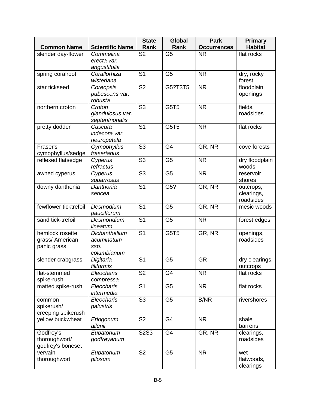|                              |                             | <b>State</b>             | <b>Global</b>  | <b>Park</b>        | <b>Primary</b>         |
|------------------------------|-----------------------------|--------------------------|----------------|--------------------|------------------------|
| <b>Common Name</b>           | <b>Scientific Name</b>      | Rank                     | Rank           | <b>Occurrences</b> | <b>Habitat</b>         |
| slender day-flower           | Commelina                   | S <sub>2</sub>           | G <sub>5</sub> | <b>NR</b>          | flat rocks             |
|                              | erecta var.                 |                          |                |                    |                        |
|                              | angustifolia                |                          |                |                    |                        |
| spring coralroot             | Corallorhiza                | S <sub>1</sub>           | G <sub>5</sub> | <b>NR</b>          | dry, rocky             |
| star tickseed                | wisteriana                  | S <sub>2</sub>           | G5?T3T5        | <b>NR</b>          | forest                 |
|                              | Coreopsis<br>pubescens var. |                          |                |                    | floodplain<br>openings |
|                              | robusta                     |                          |                |                    |                        |
| northern croton              | Croton                      | $\overline{\text{S3}}$   | G5T5           | <b>NR</b>          | fields,                |
|                              | glandulosus var.            |                          |                |                    | roadsides              |
|                              | septentrionalis             |                          |                |                    |                        |
| pretty dodder                | Cuscuta                     | S <sub>1</sub>           | G5T5           | <b>NR</b>          | flat rocks             |
|                              | indecora var.               |                          |                |                    |                        |
|                              | neuropetala                 |                          |                |                    |                        |
| Fraser's                     | Cymophyllus                 | S <sub>3</sub>           | G <sub>4</sub> | GR, NR             | cove forests           |
| cymophyllus/sedge            | fraserianus                 |                          |                |                    |                        |
| reflexed flatsedge           | Cyperus                     | $\overline{\mathsf{S}3}$ | G <sub>5</sub> | <b>NR</b>          | dry floodplain         |
|                              | refractus                   | S <sub>3</sub>           | G <sub>5</sub> | <b>NR</b>          | woods<br>reservoir     |
| awned cyperus                | Cyperus                     |                          |                |                    | shores                 |
| downy danthonia              | squarrosus<br>Danthonia     | S <sub>1</sub>           | G5?            | GR, NR             | outcrops,              |
|                              | sericea                     |                          |                |                    | clearings,             |
|                              |                             |                          |                |                    | roadsides              |
| fewflower ticktrefoil        | Desmodium                   | $\overline{S1}$          | G <sub>5</sub> | GR, NR             | mesic woods            |
|                              | pauciflorum                 |                          |                |                    |                        |
| sand tick-trefoil            | Desmondium                  | S <sub>1</sub>           | G <sub>5</sub> | <b>NR</b>          | forest edges           |
|                              | lineatum                    |                          |                |                    |                        |
| hemlock rosette              | Dichanthelium               | S <sub>1</sub>           | G5T5           | GR, NR             | openings,              |
| grass/ American              | acuminatum                  |                          |                |                    | roadsides              |
| panic grass                  | ssp.                        |                          |                |                    |                        |
| slender crabgrass            | columbianum<br>Digitaria    | S <sub>1</sub>           | G <sub>5</sub> | <b>GR</b>          | dry clearings,         |
|                              | filiformis                  |                          |                |                    | outcrops               |
| flat-stemmed                 | Eleocharis                  | S <sub>2</sub>           | G4             | <b>NR</b>          | flat rocks             |
| spike-rush                   | compressa                   |                          |                |                    |                        |
| matted spike-rush            | Eleocharis                  | S <sub>1</sub>           | G <sub>5</sub> | <b>NR</b>          | flat rocks             |
|                              | intermedia                  |                          |                |                    |                        |
| common                       | Eleocharis                  | $\overline{\text{S3}}$   | G <sub>5</sub> | <b>B/NR</b>        | rivershores            |
| spikerush/                   | palustris                   |                          |                |                    |                        |
| creeping spikerush           |                             |                          |                |                    |                        |
| yellow buckwheat             | Eriogonum                   | S <sub>2</sub>           | G4             | <b>NR</b>          | shale                  |
|                              | allenii                     |                          |                |                    | barrens                |
| Godfrey's                    | Eupatorium                  | <b>S2S3</b>              | G4             | GR, NR             | clearings,             |
| thoroughwort/                | godfreyanum                 |                          |                |                    | roadsides              |
| godfrey's boneset<br>vervain | Eupatorium                  | S <sub>2</sub>           | G <sub>5</sub> | <b>NR</b>          | wet                    |
| thoroughwort                 | pilosum                     |                          |                |                    | flatwoods,             |
|                              |                             |                          |                |                    | clearings              |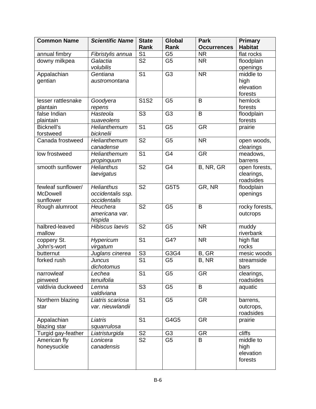| <b>Common Name</b>    | <b>Scientific Name</b>            | <b>State</b>             | <b>Global</b>   | <b>Park</b>            | Primary            |
|-----------------------|-----------------------------------|--------------------------|-----------------|------------------------|--------------------|
|                       |                                   | Rank                     | <b>Rank</b>     | <b>Occurrences</b>     | <b>Habitat</b>     |
| annual fimbry         | Fibristylis annua                 | S <sub>1</sub>           | G <sub>5</sub>  | <b>NR</b>              | flat rocks         |
| downy milkpea         | Galactia                          | $\overline{\mathsf{S2}}$ | $\overline{G5}$ | <b>NR</b>              | floodplain         |
|                       | volubilis                         |                          |                 |                        | openings           |
| Appalachian           | Gentiana                          | S <sub>1</sub>           | G <sub>3</sub>  | <b>NR</b>              | middle to          |
| gentian               | austromontana                     |                          |                 |                        | high               |
|                       |                                   |                          |                 |                        | elevation          |
| lesser rattlesnake    |                                   | <b>S1S2</b>              | G <sub>5</sub>  | B                      | forests<br>hemlock |
| plantain              | Goodyera<br>repens                |                          |                 |                        | forests            |
| false Indian          | Hasteola                          | $\overline{\mathsf{S}3}$ | $\overline{G3}$ | B                      | floodplain         |
| plaintain             | suaveolens                        |                          |                 |                        | forests            |
| <b>Bicknell's</b>     | Helianthemum                      | S <sub>1</sub>           | G <sub>5</sub>  | <b>GR</b>              | prairie            |
| forstweed             | bicknelii                         |                          |                 |                        |                    |
| Canada frostweed      | Helianthemum                      | S <sub>2</sub>           | G <sub>5</sub>  | <b>NR</b>              | open woods,        |
|                       | canadense                         |                          |                 |                        | clearings          |
| low frostweed         | Helianthemum                      | $\overline{S1}$          | $\overline{G4}$ | $\overline{\text{GR}}$ | meadows,           |
|                       | propinquum                        |                          |                 |                        | barrens            |
| smooth sunflower      | <b>Helianthus</b>                 | S <sub>2</sub>           | G <sub>4</sub>  | B, NR, GR              | open forests,      |
|                       | laevigatus                        |                          |                 |                        | clearings,         |
|                       |                                   |                          |                 |                        | roadsides          |
| fewleaf sunflower/    | <b>Helianthus</b>                 | S <sub>2</sub>           | G5T5            | GR, NR                 | floodplain         |
| McDowell<br>sunflower | occidentalis ssp.<br>occidentalis |                          |                 |                        | openings           |
| Rough alumroot        | Heuchera                          | $\overline{\text{S2}}$   | $\overline{G5}$ | B                      | rocky forests,     |
|                       | americana var.                    |                          |                 |                        | outcrops           |
|                       | hispida                           |                          |                 |                        |                    |
| halbred-leaved        | <b>Hibiscus laevis</b>            | S <sub>2</sub>           | G <sub>5</sub>  | <b>NR</b>              | muddy              |
| mallow                |                                   |                          |                 |                        | riverbank          |
| coppery St.           | Hypericum                         | S <sub>1</sub>           | G4?             | <b>NR</b>              | high flat          |
| John's-wort           | virgatum                          |                          |                 |                        | rocks              |
| butternut             | Juglans cinerea                   | S <sub>3</sub>           | G3G4            | B, GR                  | mesic woods        |
| forked rush           | <b>Juncus</b>                     | $\overline{S1}$          | G <sub>5</sub>  | B, NR                  | streamside         |
|                       | dichotomus                        |                          |                 |                        | bars               |
| narrowleaf            | Lechea                            | S <sub>1</sub>           | G <sub>5</sub>  | <b>GR</b>              | clearings,         |
| pinweed               | tenuifolia                        |                          |                 | B                      | roadsides          |
| valdivia duckweed     | Lemna<br>valdiviana               | S <sub>3</sub>           | G <sub>5</sub>  |                        | aquatic            |
| Northern blazing      | Liatris scariosa                  | S <sub>1</sub>           | G <sub>5</sub>  | <b>GR</b>              | barrens,           |
| star                  | var. nieuwlandii                  |                          |                 |                        | outcrops,          |
|                       |                                   |                          |                 |                        | roadsides          |
| Appalachian           | Liatris                           | S <sub>1</sub>           | G4G5            | <b>GR</b>              | prairie            |
| blazing star          | squarrulosa                       |                          |                 |                        |                    |
| Turgid gay-feather    | Liatristurgida                    | S <sub>2</sub>           | G <sub>3</sub>  | <b>GR</b>              | cliffs             |
| American fly          | Lonicera                          | $\overline{\mathsf{S2}}$ | G <sub>5</sub>  | B                      | middle to          |
| honeysuckle           | canadensis                        |                          |                 |                        | high               |
|                       |                                   |                          |                 |                        | elevation          |
|                       |                                   |                          |                 |                        | forests            |
|                       |                                   |                          |                 |                        |                    |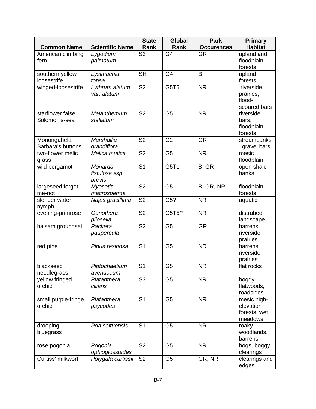| Rank<br><b>Habitat</b><br><b>Scientific Name</b><br><b>Rank</b><br><b>Common Name</b><br><b>Occurences</b><br>$\overline{\mathsf{S}3}$<br>G <sub>4</sub><br>American climbing<br>upland and<br>Lygodium<br><b>GR</b><br>floodplain<br>palmatum<br>fern<br>forests<br><b>SH</b><br>G <sub>4</sub><br>B<br>Lysimachia<br>upland<br>southern yellow<br>loosestrife<br>forests<br>tonsa<br>S <sub>2</sub><br>Lythrum alatum<br>G5T5<br><b>NR</b><br>winged-loosestrife<br>riverside<br>var. alatum<br>prairies,<br>flood-<br>scoured bars<br>$\overline{\mathsf{S2}}$<br>G <sub>5</sub><br>starflower false<br><b>NR</b><br>Maianthemum<br>riverside<br>Solomon's-seal<br>stellatum<br>bars,<br>floodplain<br>forests<br>S <sub>2</sub><br>G <sub>2</sub><br><b>GR</b><br>Marshallia<br>streambanks<br>Monongahela<br>Barbara's buttons<br>grandiflora<br>, gravel bars<br><b>NR</b><br>two-flower melic<br>Melica mutica<br>S <sub>2</sub><br>G <sub>5</sub><br>mesic<br>floodplain<br>grass<br>$\overline{S1}$<br>G5T1<br>$B, \overline{GR}$<br>wild bergamot<br>Monarda<br>open shale<br>banks<br>fistulosa ssp.<br>brevis<br>S <sub>2</sub><br>B, GR, NR<br>G <sub>5</sub><br>largeseed forget-<br>floodplain<br><b>Myosotis</b><br>forests<br>me-not<br>macrosperma<br><b>NR</b><br>slender water<br>S <sub>2</sub><br>G5?<br>Najas gracillima<br>aquatic<br>nymph<br>$\overline{\mathsf{S2}}$<br>evening-primrose<br>Oenothera<br>G5T5?<br><b>NR</b><br>distrubed<br>pilosella<br>landscape<br>Packera<br>S <sub>2</sub><br><b>GR</b><br>G <sub>5</sub><br>balsam groundsel<br>barrens,<br>riverside<br>paupercula<br>prairies<br><b>NR</b><br>S <sub>1</sub><br>G <sub>5</sub><br>red pine<br>Pinus resinosa<br>barrens,<br>riverside<br>prairies<br>S <sub>1</sub><br>G <sub>5</sub><br><b>NR</b><br>blackseed<br>Piptochaetium<br>flat rocks<br>needlegrass<br>avenaceum<br>yellow fringed<br>S <sub>3</sub><br>G <sub>5</sub><br><b>NR</b><br>Platanthera<br>boggy<br>orchid<br>ciliaris<br>flatwoods,<br>roadsides<br>S <sub>1</sub><br><b>NR</b><br>G <sub>5</sub><br>small purple-fringe<br>Platanthera<br>mesic high-<br>orchid<br>elevation<br>psycodes<br>forests, wet<br>meadows<br>S <sub>1</sub><br><b>NR</b><br>G <sub>5</sub><br>drooping<br>Poa saltuensis<br>roaky<br>woodlands,<br>bluegrass<br>barrens<br>S <sub>2</sub><br>G <sub>5</sub><br><b>NR</b><br>Pogonia<br>rose pogonia<br>bogs, boggy<br>ophioglossoides<br>clearings<br>Curtiss' milkwort<br>S <sub>2</sub><br>G <sub>5</sub><br>GR, NR<br>Polygala curtissii<br>clearings and |  | <b>State</b> | Global | <b>Park</b> | <b>Primary</b> |
|------------------------------------------------------------------------------------------------------------------------------------------------------------------------------------------------------------------------------------------------------------------------------------------------------------------------------------------------------------------------------------------------------------------------------------------------------------------------------------------------------------------------------------------------------------------------------------------------------------------------------------------------------------------------------------------------------------------------------------------------------------------------------------------------------------------------------------------------------------------------------------------------------------------------------------------------------------------------------------------------------------------------------------------------------------------------------------------------------------------------------------------------------------------------------------------------------------------------------------------------------------------------------------------------------------------------------------------------------------------------------------------------------------------------------------------------------------------------------------------------------------------------------------------------------------------------------------------------------------------------------------------------------------------------------------------------------------------------------------------------------------------------------------------------------------------------------------------------------------------------------------------------------------------------------------------------------------------------------------------------------------------------------------------------------------------------------------------------------------------------------------------------------------------------------------------------------------------------------------------------------------------------------------------------------------------------------------------------------------------------------------------------------------------------------------------------------------------------------------------------------------------------------------------------------------------|--|--------------|--------|-------------|----------------|
|                                                                                                                                                                                                                                                                                                                                                                                                                                                                                                                                                                                                                                                                                                                                                                                                                                                                                                                                                                                                                                                                                                                                                                                                                                                                                                                                                                                                                                                                                                                                                                                                                                                                                                                                                                                                                                                                                                                                                                                                                                                                                                                                                                                                                                                                                                                                                                                                                                                                                                                                                                  |  |              |        |             |                |
|                                                                                                                                                                                                                                                                                                                                                                                                                                                                                                                                                                                                                                                                                                                                                                                                                                                                                                                                                                                                                                                                                                                                                                                                                                                                                                                                                                                                                                                                                                                                                                                                                                                                                                                                                                                                                                                                                                                                                                                                                                                                                                                                                                                                                                                                                                                                                                                                                                                                                                                                                                  |  |              |        |             |                |
|                                                                                                                                                                                                                                                                                                                                                                                                                                                                                                                                                                                                                                                                                                                                                                                                                                                                                                                                                                                                                                                                                                                                                                                                                                                                                                                                                                                                                                                                                                                                                                                                                                                                                                                                                                                                                                                                                                                                                                                                                                                                                                                                                                                                                                                                                                                                                                                                                                                                                                                                                                  |  |              |        |             |                |
|                                                                                                                                                                                                                                                                                                                                                                                                                                                                                                                                                                                                                                                                                                                                                                                                                                                                                                                                                                                                                                                                                                                                                                                                                                                                                                                                                                                                                                                                                                                                                                                                                                                                                                                                                                                                                                                                                                                                                                                                                                                                                                                                                                                                                                                                                                                                                                                                                                                                                                                                                                  |  |              |        |             |                |
|                                                                                                                                                                                                                                                                                                                                                                                                                                                                                                                                                                                                                                                                                                                                                                                                                                                                                                                                                                                                                                                                                                                                                                                                                                                                                                                                                                                                                                                                                                                                                                                                                                                                                                                                                                                                                                                                                                                                                                                                                                                                                                                                                                                                                                                                                                                                                                                                                                                                                                                                                                  |  |              |        |             |                |
|                                                                                                                                                                                                                                                                                                                                                                                                                                                                                                                                                                                                                                                                                                                                                                                                                                                                                                                                                                                                                                                                                                                                                                                                                                                                                                                                                                                                                                                                                                                                                                                                                                                                                                                                                                                                                                                                                                                                                                                                                                                                                                                                                                                                                                                                                                                                                                                                                                                                                                                                                                  |  |              |        |             |                |
|                                                                                                                                                                                                                                                                                                                                                                                                                                                                                                                                                                                                                                                                                                                                                                                                                                                                                                                                                                                                                                                                                                                                                                                                                                                                                                                                                                                                                                                                                                                                                                                                                                                                                                                                                                                                                                                                                                                                                                                                                                                                                                                                                                                                                                                                                                                                                                                                                                                                                                                                                                  |  |              |        |             |                |
|                                                                                                                                                                                                                                                                                                                                                                                                                                                                                                                                                                                                                                                                                                                                                                                                                                                                                                                                                                                                                                                                                                                                                                                                                                                                                                                                                                                                                                                                                                                                                                                                                                                                                                                                                                                                                                                                                                                                                                                                                                                                                                                                                                                                                                                                                                                                                                                                                                                                                                                                                                  |  |              |        |             |                |
|                                                                                                                                                                                                                                                                                                                                                                                                                                                                                                                                                                                                                                                                                                                                                                                                                                                                                                                                                                                                                                                                                                                                                                                                                                                                                                                                                                                                                                                                                                                                                                                                                                                                                                                                                                                                                                                                                                                                                                                                                                                                                                                                                                                                                                                                                                                                                                                                                                                                                                                                                                  |  |              |        |             |                |
|                                                                                                                                                                                                                                                                                                                                                                                                                                                                                                                                                                                                                                                                                                                                                                                                                                                                                                                                                                                                                                                                                                                                                                                                                                                                                                                                                                                                                                                                                                                                                                                                                                                                                                                                                                                                                                                                                                                                                                                                                                                                                                                                                                                                                                                                                                                                                                                                                                                                                                                                                                  |  |              |        |             |                |
|                                                                                                                                                                                                                                                                                                                                                                                                                                                                                                                                                                                                                                                                                                                                                                                                                                                                                                                                                                                                                                                                                                                                                                                                                                                                                                                                                                                                                                                                                                                                                                                                                                                                                                                                                                                                                                                                                                                                                                                                                                                                                                                                                                                                                                                                                                                                                                                                                                                                                                                                                                  |  |              |        |             |                |
|                                                                                                                                                                                                                                                                                                                                                                                                                                                                                                                                                                                                                                                                                                                                                                                                                                                                                                                                                                                                                                                                                                                                                                                                                                                                                                                                                                                                                                                                                                                                                                                                                                                                                                                                                                                                                                                                                                                                                                                                                                                                                                                                                                                                                                                                                                                                                                                                                                                                                                                                                                  |  |              |        |             |                |
|                                                                                                                                                                                                                                                                                                                                                                                                                                                                                                                                                                                                                                                                                                                                                                                                                                                                                                                                                                                                                                                                                                                                                                                                                                                                                                                                                                                                                                                                                                                                                                                                                                                                                                                                                                                                                                                                                                                                                                                                                                                                                                                                                                                                                                                                                                                                                                                                                                                                                                                                                                  |  |              |        |             |                |
|                                                                                                                                                                                                                                                                                                                                                                                                                                                                                                                                                                                                                                                                                                                                                                                                                                                                                                                                                                                                                                                                                                                                                                                                                                                                                                                                                                                                                                                                                                                                                                                                                                                                                                                                                                                                                                                                                                                                                                                                                                                                                                                                                                                                                                                                                                                                                                                                                                                                                                                                                                  |  |              |        |             |                |
|                                                                                                                                                                                                                                                                                                                                                                                                                                                                                                                                                                                                                                                                                                                                                                                                                                                                                                                                                                                                                                                                                                                                                                                                                                                                                                                                                                                                                                                                                                                                                                                                                                                                                                                                                                                                                                                                                                                                                                                                                                                                                                                                                                                                                                                                                                                                                                                                                                                                                                                                                                  |  |              |        |             |                |
|                                                                                                                                                                                                                                                                                                                                                                                                                                                                                                                                                                                                                                                                                                                                                                                                                                                                                                                                                                                                                                                                                                                                                                                                                                                                                                                                                                                                                                                                                                                                                                                                                                                                                                                                                                                                                                                                                                                                                                                                                                                                                                                                                                                                                                                                                                                                                                                                                                                                                                                                                                  |  |              |        |             |                |
|                                                                                                                                                                                                                                                                                                                                                                                                                                                                                                                                                                                                                                                                                                                                                                                                                                                                                                                                                                                                                                                                                                                                                                                                                                                                                                                                                                                                                                                                                                                                                                                                                                                                                                                                                                                                                                                                                                                                                                                                                                                                                                                                                                                                                                                                                                                                                                                                                                                                                                                                                                  |  |              |        |             |                |
|                                                                                                                                                                                                                                                                                                                                                                                                                                                                                                                                                                                                                                                                                                                                                                                                                                                                                                                                                                                                                                                                                                                                                                                                                                                                                                                                                                                                                                                                                                                                                                                                                                                                                                                                                                                                                                                                                                                                                                                                                                                                                                                                                                                                                                                                                                                                                                                                                                                                                                                                                                  |  |              |        |             |                |
|                                                                                                                                                                                                                                                                                                                                                                                                                                                                                                                                                                                                                                                                                                                                                                                                                                                                                                                                                                                                                                                                                                                                                                                                                                                                                                                                                                                                                                                                                                                                                                                                                                                                                                                                                                                                                                                                                                                                                                                                                                                                                                                                                                                                                                                                                                                                                                                                                                                                                                                                                                  |  |              |        |             |                |
|                                                                                                                                                                                                                                                                                                                                                                                                                                                                                                                                                                                                                                                                                                                                                                                                                                                                                                                                                                                                                                                                                                                                                                                                                                                                                                                                                                                                                                                                                                                                                                                                                                                                                                                                                                                                                                                                                                                                                                                                                                                                                                                                                                                                                                                                                                                                                                                                                                                                                                                                                                  |  |              |        |             |                |
|                                                                                                                                                                                                                                                                                                                                                                                                                                                                                                                                                                                                                                                                                                                                                                                                                                                                                                                                                                                                                                                                                                                                                                                                                                                                                                                                                                                                                                                                                                                                                                                                                                                                                                                                                                                                                                                                                                                                                                                                                                                                                                                                                                                                                                                                                                                                                                                                                                                                                                                                                                  |  |              |        |             |                |
|                                                                                                                                                                                                                                                                                                                                                                                                                                                                                                                                                                                                                                                                                                                                                                                                                                                                                                                                                                                                                                                                                                                                                                                                                                                                                                                                                                                                                                                                                                                                                                                                                                                                                                                                                                                                                                                                                                                                                                                                                                                                                                                                                                                                                                                                                                                                                                                                                                                                                                                                                                  |  |              |        |             |                |
|                                                                                                                                                                                                                                                                                                                                                                                                                                                                                                                                                                                                                                                                                                                                                                                                                                                                                                                                                                                                                                                                                                                                                                                                                                                                                                                                                                                                                                                                                                                                                                                                                                                                                                                                                                                                                                                                                                                                                                                                                                                                                                                                                                                                                                                                                                                                                                                                                                                                                                                                                                  |  |              |        |             |                |
|                                                                                                                                                                                                                                                                                                                                                                                                                                                                                                                                                                                                                                                                                                                                                                                                                                                                                                                                                                                                                                                                                                                                                                                                                                                                                                                                                                                                                                                                                                                                                                                                                                                                                                                                                                                                                                                                                                                                                                                                                                                                                                                                                                                                                                                                                                                                                                                                                                                                                                                                                                  |  |              |        |             |                |
|                                                                                                                                                                                                                                                                                                                                                                                                                                                                                                                                                                                                                                                                                                                                                                                                                                                                                                                                                                                                                                                                                                                                                                                                                                                                                                                                                                                                                                                                                                                                                                                                                                                                                                                                                                                                                                                                                                                                                                                                                                                                                                                                                                                                                                                                                                                                                                                                                                                                                                                                                                  |  |              |        |             |                |
|                                                                                                                                                                                                                                                                                                                                                                                                                                                                                                                                                                                                                                                                                                                                                                                                                                                                                                                                                                                                                                                                                                                                                                                                                                                                                                                                                                                                                                                                                                                                                                                                                                                                                                                                                                                                                                                                                                                                                                                                                                                                                                                                                                                                                                                                                                                                                                                                                                                                                                                                                                  |  |              |        |             |                |
|                                                                                                                                                                                                                                                                                                                                                                                                                                                                                                                                                                                                                                                                                                                                                                                                                                                                                                                                                                                                                                                                                                                                                                                                                                                                                                                                                                                                                                                                                                                                                                                                                                                                                                                                                                                                                                                                                                                                                                                                                                                                                                                                                                                                                                                                                                                                                                                                                                                                                                                                                                  |  |              |        |             |                |
|                                                                                                                                                                                                                                                                                                                                                                                                                                                                                                                                                                                                                                                                                                                                                                                                                                                                                                                                                                                                                                                                                                                                                                                                                                                                                                                                                                                                                                                                                                                                                                                                                                                                                                                                                                                                                                                                                                                                                                                                                                                                                                                                                                                                                                                                                                                                                                                                                                                                                                                                                                  |  |              |        |             |                |
|                                                                                                                                                                                                                                                                                                                                                                                                                                                                                                                                                                                                                                                                                                                                                                                                                                                                                                                                                                                                                                                                                                                                                                                                                                                                                                                                                                                                                                                                                                                                                                                                                                                                                                                                                                                                                                                                                                                                                                                                                                                                                                                                                                                                                                                                                                                                                                                                                                                                                                                                                                  |  |              |        |             |                |
|                                                                                                                                                                                                                                                                                                                                                                                                                                                                                                                                                                                                                                                                                                                                                                                                                                                                                                                                                                                                                                                                                                                                                                                                                                                                                                                                                                                                                                                                                                                                                                                                                                                                                                                                                                                                                                                                                                                                                                                                                                                                                                                                                                                                                                                                                                                                                                                                                                                                                                                                                                  |  |              |        |             |                |
|                                                                                                                                                                                                                                                                                                                                                                                                                                                                                                                                                                                                                                                                                                                                                                                                                                                                                                                                                                                                                                                                                                                                                                                                                                                                                                                                                                                                                                                                                                                                                                                                                                                                                                                                                                                                                                                                                                                                                                                                                                                                                                                                                                                                                                                                                                                                                                                                                                                                                                                                                                  |  |              |        |             |                |
|                                                                                                                                                                                                                                                                                                                                                                                                                                                                                                                                                                                                                                                                                                                                                                                                                                                                                                                                                                                                                                                                                                                                                                                                                                                                                                                                                                                                                                                                                                                                                                                                                                                                                                                                                                                                                                                                                                                                                                                                                                                                                                                                                                                                                                                                                                                                                                                                                                                                                                                                                                  |  |              |        |             |                |
|                                                                                                                                                                                                                                                                                                                                                                                                                                                                                                                                                                                                                                                                                                                                                                                                                                                                                                                                                                                                                                                                                                                                                                                                                                                                                                                                                                                                                                                                                                                                                                                                                                                                                                                                                                                                                                                                                                                                                                                                                                                                                                                                                                                                                                                                                                                                                                                                                                                                                                                                                                  |  |              |        |             |                |
|                                                                                                                                                                                                                                                                                                                                                                                                                                                                                                                                                                                                                                                                                                                                                                                                                                                                                                                                                                                                                                                                                                                                                                                                                                                                                                                                                                                                                                                                                                                                                                                                                                                                                                                                                                                                                                                                                                                                                                                                                                                                                                                                                                                                                                                                                                                                                                                                                                                                                                                                                                  |  |              |        |             |                |
|                                                                                                                                                                                                                                                                                                                                                                                                                                                                                                                                                                                                                                                                                                                                                                                                                                                                                                                                                                                                                                                                                                                                                                                                                                                                                                                                                                                                                                                                                                                                                                                                                                                                                                                                                                                                                                                                                                                                                                                                                                                                                                                                                                                                                                                                                                                                                                                                                                                                                                                                                                  |  |              |        |             |                |
|                                                                                                                                                                                                                                                                                                                                                                                                                                                                                                                                                                                                                                                                                                                                                                                                                                                                                                                                                                                                                                                                                                                                                                                                                                                                                                                                                                                                                                                                                                                                                                                                                                                                                                                                                                                                                                                                                                                                                                                                                                                                                                                                                                                                                                                                                                                                                                                                                                                                                                                                                                  |  |              |        |             |                |
|                                                                                                                                                                                                                                                                                                                                                                                                                                                                                                                                                                                                                                                                                                                                                                                                                                                                                                                                                                                                                                                                                                                                                                                                                                                                                                                                                                                                                                                                                                                                                                                                                                                                                                                                                                                                                                                                                                                                                                                                                                                                                                                                                                                                                                                                                                                                                                                                                                                                                                                                                                  |  |              |        |             |                |
|                                                                                                                                                                                                                                                                                                                                                                                                                                                                                                                                                                                                                                                                                                                                                                                                                                                                                                                                                                                                                                                                                                                                                                                                                                                                                                                                                                                                                                                                                                                                                                                                                                                                                                                                                                                                                                                                                                                                                                                                                                                                                                                                                                                                                                                                                                                                                                                                                                                                                                                                                                  |  |              |        |             |                |
|                                                                                                                                                                                                                                                                                                                                                                                                                                                                                                                                                                                                                                                                                                                                                                                                                                                                                                                                                                                                                                                                                                                                                                                                                                                                                                                                                                                                                                                                                                                                                                                                                                                                                                                                                                                                                                                                                                                                                                                                                                                                                                                                                                                                                                                                                                                                                                                                                                                                                                                                                                  |  |              |        |             |                |
|                                                                                                                                                                                                                                                                                                                                                                                                                                                                                                                                                                                                                                                                                                                                                                                                                                                                                                                                                                                                                                                                                                                                                                                                                                                                                                                                                                                                                                                                                                                                                                                                                                                                                                                                                                                                                                                                                                                                                                                                                                                                                                                                                                                                                                                                                                                                                                                                                                                                                                                                                                  |  |              |        |             |                |
|                                                                                                                                                                                                                                                                                                                                                                                                                                                                                                                                                                                                                                                                                                                                                                                                                                                                                                                                                                                                                                                                                                                                                                                                                                                                                                                                                                                                                                                                                                                                                                                                                                                                                                                                                                                                                                                                                                                                                                                                                                                                                                                                                                                                                                                                                                                                                                                                                                                                                                                                                                  |  |              |        |             |                |
|                                                                                                                                                                                                                                                                                                                                                                                                                                                                                                                                                                                                                                                                                                                                                                                                                                                                                                                                                                                                                                                                                                                                                                                                                                                                                                                                                                                                                                                                                                                                                                                                                                                                                                                                                                                                                                                                                                                                                                                                                                                                                                                                                                                                                                                                                                                                                                                                                                                                                                                                                                  |  |              |        |             |                |
|                                                                                                                                                                                                                                                                                                                                                                                                                                                                                                                                                                                                                                                                                                                                                                                                                                                                                                                                                                                                                                                                                                                                                                                                                                                                                                                                                                                                                                                                                                                                                                                                                                                                                                                                                                                                                                                                                                                                                                                                                                                                                                                                                                                                                                                                                                                                                                                                                                                                                                                                                                  |  |              |        |             |                |
|                                                                                                                                                                                                                                                                                                                                                                                                                                                                                                                                                                                                                                                                                                                                                                                                                                                                                                                                                                                                                                                                                                                                                                                                                                                                                                                                                                                                                                                                                                                                                                                                                                                                                                                                                                                                                                                                                                                                                                                                                                                                                                                                                                                                                                                                                                                                                                                                                                                                                                                                                                  |  |              |        |             |                |
|                                                                                                                                                                                                                                                                                                                                                                                                                                                                                                                                                                                                                                                                                                                                                                                                                                                                                                                                                                                                                                                                                                                                                                                                                                                                                                                                                                                                                                                                                                                                                                                                                                                                                                                                                                                                                                                                                                                                                                                                                                                                                                                                                                                                                                                                                                                                                                                                                                                                                                                                                                  |  |              |        |             |                |
|                                                                                                                                                                                                                                                                                                                                                                                                                                                                                                                                                                                                                                                                                                                                                                                                                                                                                                                                                                                                                                                                                                                                                                                                                                                                                                                                                                                                                                                                                                                                                                                                                                                                                                                                                                                                                                                                                                                                                                                                                                                                                                                                                                                                                                                                                                                                                                                                                                                                                                                                                                  |  |              |        |             | edges          |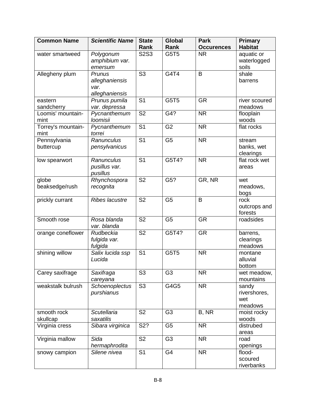| <b>Common Name</b>         | <b>Scientific Name</b>                                    | <b>State</b>             | <b>Global</b>  | <b>Park</b>       | <b>Primary</b>                          |
|----------------------------|-----------------------------------------------------------|--------------------------|----------------|-------------------|-----------------------------------------|
|                            |                                                           | Rank                     | Rank           | <b>Occurences</b> | <b>Habitat</b>                          |
| water smartweed            | Polygonum<br>amphibium var.<br>emersum                    | <b>S2S3</b>              | G5T5           | <b>NR</b>         | aquatic or<br>waterlogged<br>soils      |
| Allegheny plum             | <b>Prunus</b><br>alleghaniensis<br>var.<br>alleghaniensis | $\overline{\mathsf{S}3}$ | G4T4           | B                 | shale<br>barrens                        |
| eastern<br>sandcherry      | Prunus pumila<br>var. depressa                            | S <sub>1</sub>           | <b>G5T5</b>    | <b>GR</b>         | river scoured<br>meadows                |
| Loomis' mountain-<br>mint  | Pycnanthemum<br>loomisii                                  | S <sub>2</sub>           | G4?            | <b>NR</b>         | flooplain<br>woods                      |
| Torrey's mountain-<br>mint | Pycnanthemum<br>torrei                                    | S <sub>1</sub>           | G <sub>2</sub> | <b>NR</b>         | flat rocks                              |
| Pennsylvania<br>buttercup  | Ranunculus<br>pensylvanicus                               | $\overline{S1}$          | G <sub>5</sub> | <b>NR</b>         | stream<br>banks, wet<br>clearings       |
| low spearwort              | Ranunculus<br>pusillus var.<br>pusillus                   | S <sub>1</sub>           | G5T4?          | <b>NR</b>         | flat rock wet<br>areas                  |
| globe<br>beaksedge/rush    | Rhynchospora<br>recognita                                 | S <sub>2</sub>           | G5?            | GR, NR            | wet<br>meadows,<br>bogs                 |
| prickly currant            | <b>Ribes lacustre</b>                                     | $\overline{\mathsf{S2}}$ | G <sub>5</sub> | B                 | rock<br>outcrops and<br>forests         |
| Smooth rose                | Rosa blanda<br>var. blanda                                | S <sub>2</sub>           | G <sub>5</sub> | <b>GR</b>         | roadsides                               |
| orange coneflower          | Rudbeckia<br>fulgida var.<br>fulgida                      | $\overline{\mathsf{S2}}$ | G5T4?          | <b>GR</b>         | barrens,<br>clearings<br>meadows        |
| shining willow             | Salix lucida ssp<br>Lucida                                | S <sub>1</sub>           | G5T5           | <b>NR</b>         | montane<br>alluvial<br>bottom           |
| Carey saxifrage            | Saxifraga<br>careyana                                     | S <sub>3</sub>           | G <sub>3</sub> | <b>NR</b>         | wet meadow,<br>mountains                |
| weakstalk bulrush          | Schoenoplectus<br>purshianus                              | S <sub>3</sub>           | G4G5           | <b>NR</b>         | sandy<br>rivershores,<br>wet<br>meadows |
| smooth rock<br>skullcap    | Scutellaria<br>saxatilis                                  | S <sub>2</sub>           | G <sub>3</sub> | B, NR             | moist rocky<br>woods                    |
| Virginia cress             | Sibara virginica                                          | S2?                      | G <sub>5</sub> | <b>NR</b>         | distrubed<br>areas                      |
| Virginia mallow            | Sida<br>hermaphrodita                                     | S <sub>2</sub>           | G <sub>3</sub> | <b>NR</b>         | road<br>openings                        |
| snowy campion              | Silene nivea                                              | S <sub>1</sub>           | G <sub>4</sub> | <b>NR</b>         | flood-<br>scoured<br>riverbanks         |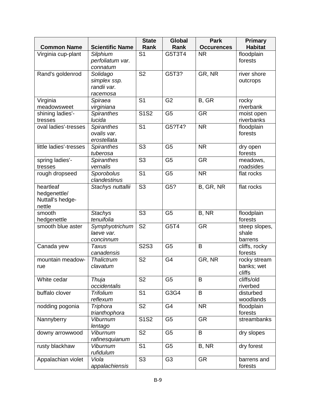|                                 |                             | <b>State</b>   | <b>Global</b>  | <b>Park</b>       | <b>Primary</b>           |
|---------------------------------|-----------------------------|----------------|----------------|-------------------|--------------------------|
| <b>Common Name</b>              | <b>Scientific Name</b>      | Rank           | Rank           | <b>Occurences</b> | <b>Habitat</b>           |
| Virginia cup-plant              | Silphium                    | S <sub>1</sub> | G5T3T4         | <b>NR</b>         | floodplain               |
|                                 | perfoliatum var.            |                |                |                   | forests                  |
|                                 | connatum                    |                |                |                   |                          |
| Rand's goldenrod                | Solidago                    | S <sub>2</sub> | G5T3?          | GR, NR            | river shore              |
|                                 | simplex ssp.                |                |                |                   | outcrops                 |
|                                 | randii var.                 |                |                |                   |                          |
|                                 | racemosa                    |                |                |                   |                          |
| Virginia                        | Spiraea                     | S <sub>1</sub> | G <sub>2</sub> | B, GR             | rocky                    |
| meadowsweet                     | virginiana                  |                | G <sub>5</sub> | <b>GR</b>         | riverbank                |
| shining ladies'-                | <b>Spiranthes</b><br>lucida | <b>S1S2</b>    |                |                   | moist open<br>riverbanks |
| tresses<br>oval ladies'-tresses | <b>Spiranthes</b>           | S <sub>1</sub> | G5?T4?         | <b>NR</b>         | floodplain               |
|                                 | ovalis var.                 |                |                |                   | forests                  |
|                                 | erostellata                 |                |                |                   |                          |
| little ladies'-tresses          | <b>Spiranthes</b>           | S <sub>3</sub> | G <sub>5</sub> | <b>NR</b>         | dry open                 |
|                                 | tuberosa                    |                |                |                   | forests                  |
| spring ladies'-                 | <b>Spiranthes</b>           | S <sub>3</sub> | G <sub>5</sub> | <b>GR</b>         | meadows,                 |
| tresses                         | vernalis                    |                |                |                   | roadsides                |
| rough dropseed                  | Sporobolus                  | S <sub>1</sub> | G <sub>5</sub> | <b>NR</b>         | flat rocks               |
|                                 | clandestinus                |                |                |                   |                          |
| heartleaf                       | Stachys nuttallii           | S <sub>3</sub> | G5?            | B, GR, NR         | flat rocks               |
| hedgenettle/                    |                             |                |                |                   |                          |
| Nuttall's hedge-                |                             |                |                |                   |                          |
| nettle                          |                             |                |                |                   |                          |
| smooth                          | <b>Stachys</b>              | S <sub>3</sub> | G <sub>5</sub> | B, NR             | floodplain               |
| hedgenettle                     | tenuifolia                  |                |                |                   | forests                  |
| smooth blue aster               | Symphyotrichum              | S <sub>2</sub> | G5T4           | <b>GR</b>         | steep slopes,            |
|                                 | laeve var.                  |                |                |                   | shale                    |
|                                 | concinnum                   |                |                |                   | barrens                  |
| Canada yew                      | <b>Taxus</b>                | <b>S2S3</b>    | G <sub>5</sub> | B                 | cliffs, rocky            |
|                                 | canadensis                  | S <sub>2</sub> | G <sub>4</sub> |                   | forests                  |
| mountain meadow-                | Thalictrum                  |                |                | GR, NR            | rocky stream             |
| rue                             | clavatum                    |                |                |                   | banks; wet<br>cliffs     |
| White cedar                     | Thuja                       | S <sub>2</sub> | G <sub>5</sub> | B                 | cliffs/old               |
|                                 | occidentalis                |                |                |                   | riverbed                 |
| buffalo clover                  | <b>Trifolium</b>            | S <sub>1</sub> | G3G4           | B                 | disturbed                |
|                                 | reflexum                    |                |                |                   | woodlands                |
| nodding pogonia                 | Triphora                    | S <sub>2</sub> | G <sub>4</sub> | <b>NR</b>         | floodplain               |
|                                 | trianthophora               |                |                |                   | forests                  |
| Nannyberry                      | <b>Viburnum</b>             | S1S2           | G <sub>5</sub> | <b>GR</b>         | streambanks              |
|                                 | lentago                     |                |                |                   |                          |
| downy arrowwood                 | <b>Viburnum</b>             | S <sub>2</sub> | G <sub>5</sub> | B                 | dry slopes               |
|                                 | rafinesquianum              |                |                |                   |                          |
| rusty blackhaw                  | <b>Viburnum</b>             | S <sub>1</sub> | G <sub>5</sub> | B, NR             | dry forest               |
|                                 | rufidulum                   |                |                |                   |                          |
| Appalachian violet              | Viola                       | S <sub>3</sub> | G <sub>3</sub> | <b>GR</b>         | barrens and              |
|                                 | appalachiensis              |                |                |                   | forests                  |